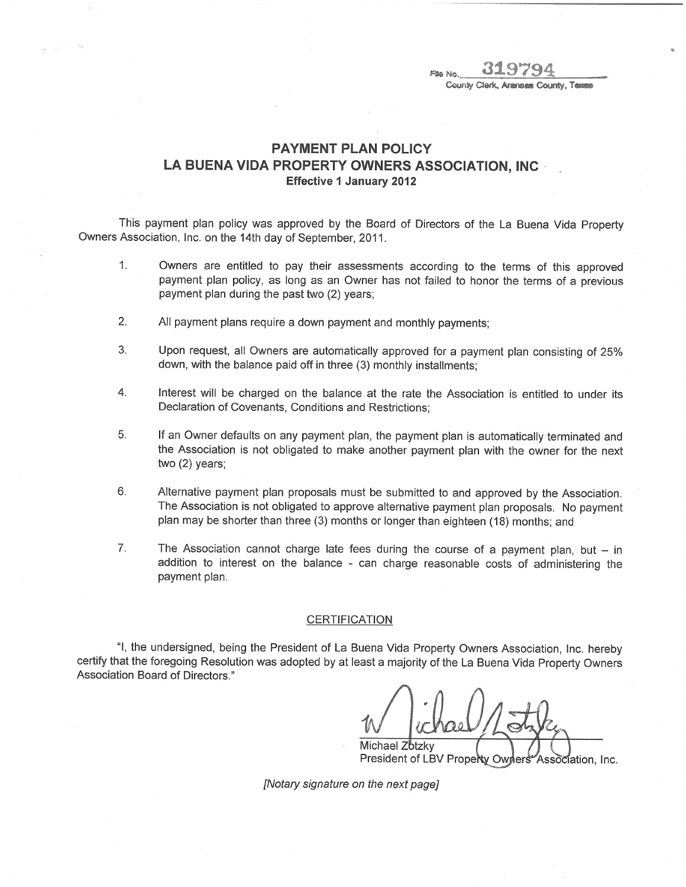File No. **W.**<br>County Clerk County, Texass

## PAYMENT PLAN POLICY LA BUENA VIDA PROPERTY OWNERS ASSOCIATION, INC Effective 1 January 2012

This payment plan policy was approved by the Board of Directors of the La Buena Vida Property Owners Association, Inc. on the 14th day of September, 2011.

- 1. Owners are entitled to pay their assessments according to the terms of this approved payment plan policy, as long as an Owner has not failed to honor the terms of a previous payment plan during the past two (2) years;
- 2. All payment plans require a down payment and monthly payments;
- 3. Upon request, all Owners are automatically approved for a payment plan consisting of 25% down, with the balance paid off in three (3) monthly installments;
- 4. Interest will be charged on the balance at the rate the Association is entitled to under its Declaration of Covenants, Conditions and Restrictions;
- 5. lf an Owner defaults on any payment plan, the payment plan is automatically terminated and the Association is not obligated to make another payment plan with the owner for the next two (2) years;
- 6. Alternative payment plan proposals must be submitted to and approved by the Association. The Association is not obligated to approve alternative payment plan proposals. No payment plan may be shorter than three (3) months or longer than eighteen (18) months; and
- 7. The Association cannot charge late fees during the course of a payment plan, but  $-$  in addition to interest on the balance - can charge reasonable costs of administering the payment plan.

## **CERTIFICATION**

"1, the undersigned, being the President of La Buena Vida Property Owners Association, Inc. hereby certify that the foregoing Resolution was adopted by at least a majority of the La Buena Vida Property Owners Association Board of Directors."

Michael Zotzky

President of LBV Property Owners Association, Inc.

[Notary signature on the next page]